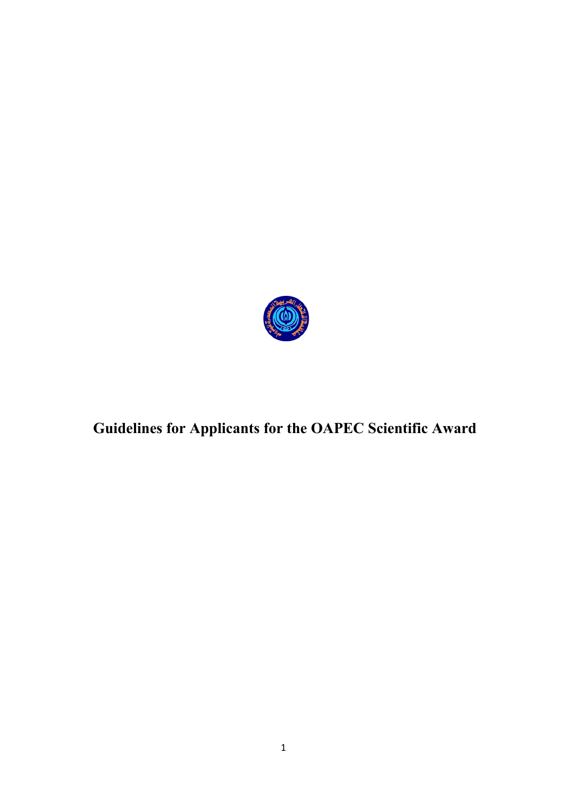

# **Guidelines for Applicants for the OAPEC Scientific Award**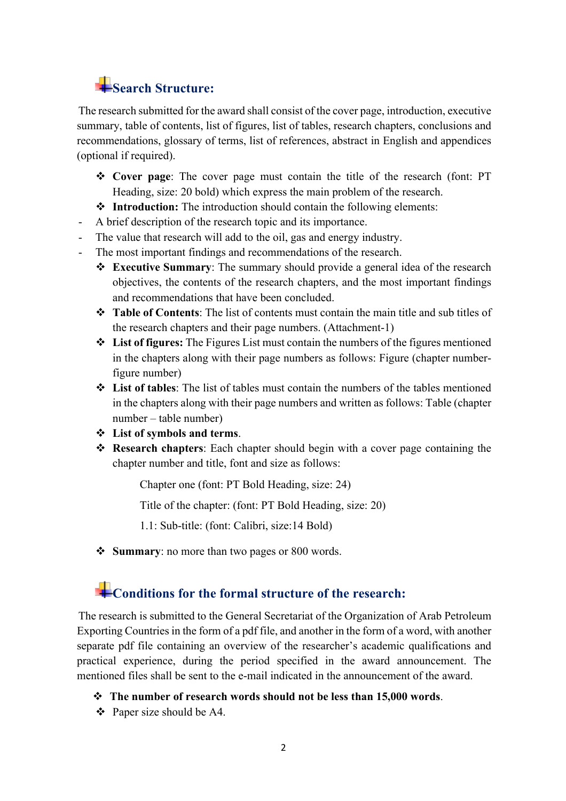## **Search Structure:**

The research submitted for the award shall consist of the cover page, introduction, executive summary, table of contents, list of figures, list of tables, research chapters, conclusions and recommendations, glossary of terms, list of references, abstract in English and appendices (optional if required).

- v **Cover page**: The cover page must contain the title of the research (font: PT Heading, size: 20 bold) which express the main problem of the research.
- **❖** Introduction: The introduction should contain the following elements:
- A brief description of the research topic and its importance.
- The value that research will add to the oil, gas and energy industry.
- The most important findings and recommendations of the research.
	- v **Executive Summary**: The summary should provide a general idea of the research objectives, the contents of the research chapters, and the most important findings and recommendations that have been concluded.
	- \* **Table of Contents**: The list of contents must contain the main title and sub titles of the research chapters and their page numbers. (Attachment-1)
	- v **List of figures:** The Figures List must contain the numbers of the figures mentioned in the chapters along with their page numbers as follows: Figure (chapter numberfigure number)
	- v **List of tables**: The list of tables must contain the numbers of the tables mentioned in the chapters along with their page numbers and written as follows: Table (chapter number – table number)
	- v **List of symbols and terms**.
	- v **Research chapters**: Each chapter should begin with a cover page containing the chapter number and title, font and size as follows:

Chapter one (font: PT Bold Heading, size: 24)

Title of the chapter: (font: PT Bold Heading, size: 20)

1.1: Sub-title: (font: Calibri, size:14 Bold)

**❖** Summary: no more than two pages or 800 words.

### **Example 3** Conditions for the formal structure of the research:

The research is submitted to the General Secretariat of the Organization of Arab Petroleum Exporting Countries in the form of a pdf file, and another in the form of a word, with another separate pdf file containing an overview of the researcher's academic qualifications and practical experience, during the period specified in the award announcement. The mentioned files shall be sent to the e-mail indicated in the announcement of the award.

v **The number of research words should not be less than 15,000 words**.

 $\div$  Paper size should be A4.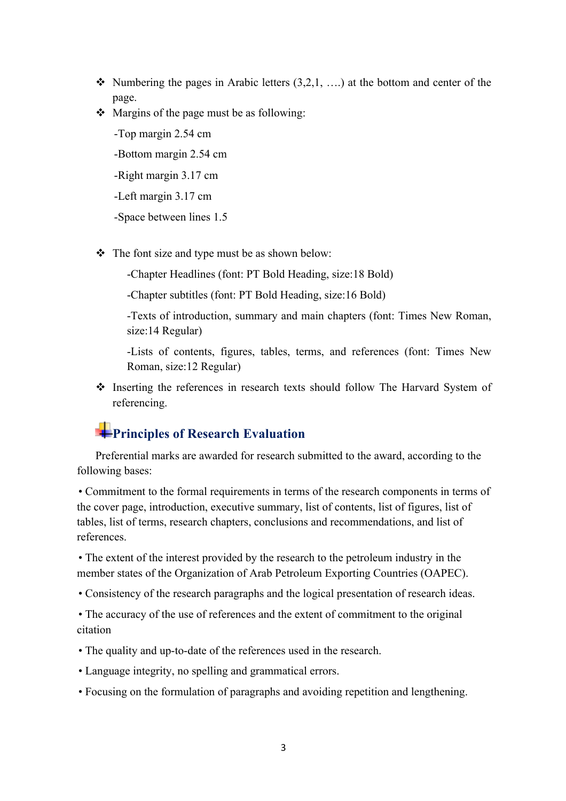- Numbering the pages in Arabic letters  $(3,2,1, \ldots)$  at the bottom and center of the page.
- $\triangleleft$  Margins of the page must be as following:
	- -Top margin 2.54 cm -Bottom margin 2.54 cm -Right margin 3.17 cm -Left margin 3.17 cm -Space between lines 1.5
- $\triangle$  The font size and type must be as shown below:

-Chapter Headlines (font: PT Bold Heading, size:18 Bold)

-Chapter subtitles (font: PT Bold Heading, size:16 Bold)

-Texts of introduction, summary and main chapters (font: Times New Roman, size:14 Regular)

-Lists of contents, figures, tables, terms, and references (font: Times New Roman, size:12 Regular)

v Inserting the references in research texts should follow The Harvard System of referencing.

### **Principles of Research Evaluation**

Preferential marks are awarded for research submitted to the award, according to the following bases:

• Commitment to the formal requirements in terms of the research components in terms of the cover page, introduction, executive summary, list of contents, list of figures, list of tables, list of terms, research chapters, conclusions and recommendations, and list of references.

• The extent of the interest provided by the research to the petroleum industry in the member states of the Organization of Arab Petroleum Exporting Countries (OAPEC).

• Consistency of the research paragraphs and the logical presentation of research ideas.

• The accuracy of the use of references and the extent of commitment to the original citation

- The quality and up-to-date of the references used in the research.
- Language integrity, no spelling and grammatical errors.
- Focusing on the formulation of paragraphs and avoiding repetition and lengthening.